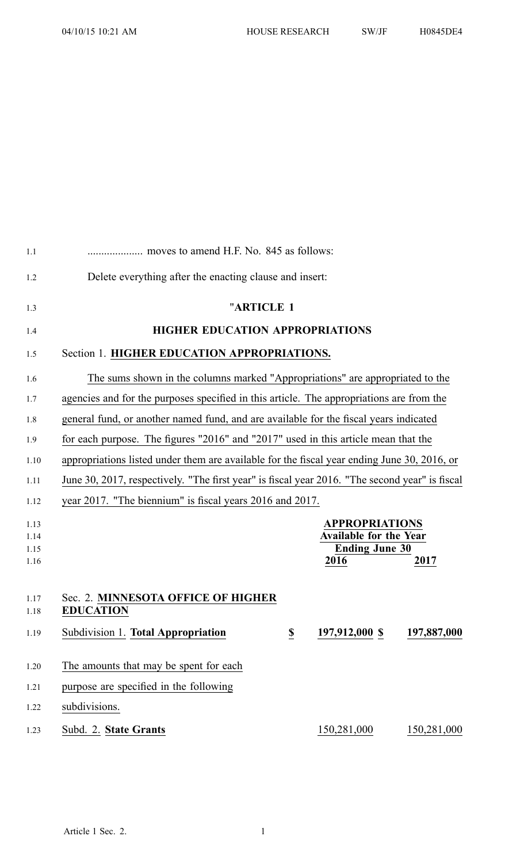| 1.1                          |                                                                                                |                          |                                                                                         |             |
|------------------------------|------------------------------------------------------------------------------------------------|--------------------------|-----------------------------------------------------------------------------------------|-------------|
| 1.2                          | Delete everything after the enacting clause and insert:                                        |                          |                                                                                         |             |
| 1.3                          | "ARTICLE 1                                                                                     |                          |                                                                                         |             |
| 1.4                          | <b>HIGHER EDUCATION APPROPRIATIONS</b>                                                         |                          |                                                                                         |             |
| 1.5                          | Section 1. HIGHER EDUCATION APPROPRIATIONS.                                                    |                          |                                                                                         |             |
| 1.6                          | The sums shown in the columns marked "Appropriations" are appropriated to the                  |                          |                                                                                         |             |
| 1.7                          | agencies and for the purposes specified in this article. The appropriations are from the       |                          |                                                                                         |             |
| 1.8                          | general fund, or another named fund, and are available for the fiscal years indicated          |                          |                                                                                         |             |
| 1.9                          | for each purpose. The figures "2016" and "2017" used in this article mean that the             |                          |                                                                                         |             |
| 1.10                         | appropriations listed under them are available for the fiscal year ending June 30, 2016, or    |                          |                                                                                         |             |
| 1.11                         | June 30, 2017, respectively. "The first year" is fiscal year 2016. "The second year" is fiscal |                          |                                                                                         |             |
| 1.12                         | year 2017. "The biennium" is fiscal years 2016 and 2017.                                       |                          |                                                                                         |             |
| 1.13<br>1.14<br>1.15<br>1.16 |                                                                                                |                          | <b>APPROPRIATIONS</b><br><b>Available for the Year</b><br><b>Ending June 30</b><br>2016 | 2017        |
| 1.17<br>1.18                 | Sec. 2. MINNESOTA OFFICE OF HIGHER<br><b>EDUCATION</b>                                         |                          |                                                                                         |             |
| 1.19                         | Subdivision 1. Total Appropriation                                                             | $\overline{\mathcal{P}}$ | 197,912,000 \$                                                                          | 197,887,000 |
| 1.20                         | The amounts that may be spent for each                                                         |                          |                                                                                         |             |
| 1.21                         | purpose are specified in the following                                                         |                          |                                                                                         |             |
| 1.22                         | subdivisions.                                                                                  |                          |                                                                                         |             |
| 1.23                         | Subd. 2. State Grants                                                                          |                          | 150,281,000                                                                             | 150,281,000 |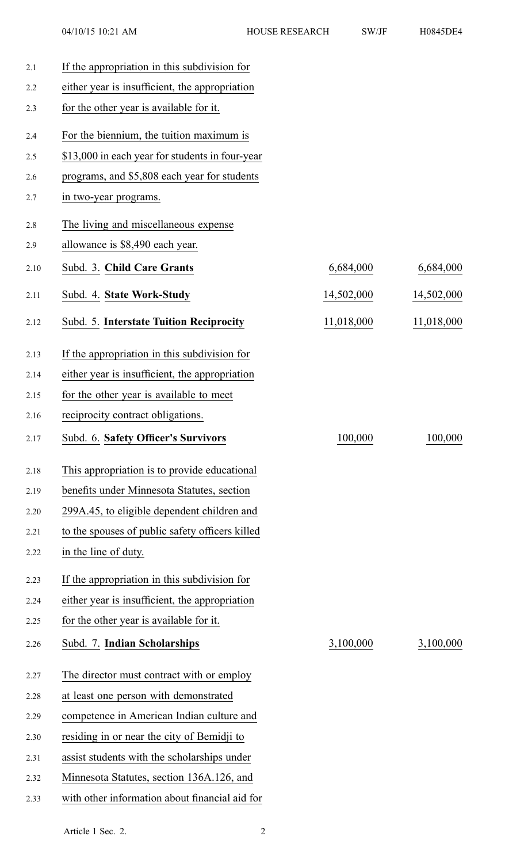| H0845DE4 |  |
|----------|--|
|----------|--|

| 2.1  | If the appropriation in this subdivision for    |            |            |
|------|-------------------------------------------------|------------|------------|
| 2.2  | either year is insufficient, the appropriation  |            |            |
| 2.3  | for the other year is available for it.         |            |            |
| 2.4  | For the biennium, the tuition maximum is        |            |            |
| 2.5  | \$13,000 in each year for students in four-year |            |            |
| 2.6  | programs, and \$5,808 each year for students    |            |            |
| 2.7  | in two-year programs.                           |            |            |
| 2.8  | The living and miscellaneous expense            |            |            |
| 2.9  | allowance is \$8,490 each year.                 |            |            |
| 2.10 | Subd. 3. Child Care Grants                      | 6,684,000  | 6,684,000  |
| 2.11 | Subd. 4. State Work-Study                       | 14,502,000 | 14,502,000 |
| 2.12 | Subd. 5. Interstate Tuition Reciprocity         | 11,018,000 | 11,018,000 |
| 2.13 | If the appropriation in this subdivision for    |            |            |
| 2.14 | either year is insufficient, the appropriation  |            |            |
| 2.15 | for the other year is available to meet         |            |            |
| 2.16 | reciprocity contract obligations.               |            |            |
| 2.17 | Subd. 6. Safety Officer's Survivors             | 100,000    | 100,000    |
| 2.18 | This appropriation is to provide educational    |            |            |
| 2.19 | benefits under Minnesota Statutes, section      |            |            |
| 2.20 | 299A.45, to eligible dependent children and     |            |            |
| 2.21 | to the spouses of public safety officers killed |            |            |
| 2.22 | in the line of duty.                            |            |            |
| 2.23 | If the appropriation in this subdivision for    |            |            |
| 2.24 | either year is insufficient, the appropriation  |            |            |
| 2.25 | for the other year is available for it.         |            |            |
| 2.26 | Subd. 7. Indian Scholarships                    | 3,100,000  | 3,100,000  |
| 2.27 | The director must contract with or employ       |            |            |
| 2.28 | at least one person with demonstrated           |            |            |
| 2.29 | competence in American Indian culture and       |            |            |
| 2.30 | residing in or near the city of Bemidji to      |            |            |
| 2.31 | assist students with the scholarships under     |            |            |
| 2.32 | Minnesota Statutes, section 136A.126, and       |            |            |
| 2.33 | with other information about financial aid for  |            |            |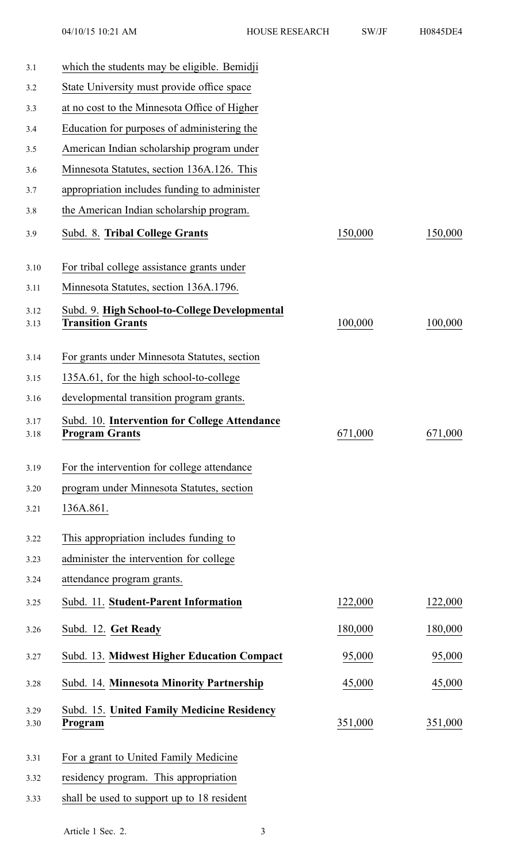| 3.1          | which the students may be eligible. Bemidji                               |         |         |
|--------------|---------------------------------------------------------------------------|---------|---------|
| 3.2          | State University must provide office space                                |         |         |
| 3.3          | at no cost to the Minnesota Office of Higher                              |         |         |
| 3.4          | Education for purposes of administering the                               |         |         |
| 3.5          | American Indian scholarship program under                                 |         |         |
| 3.6          | Minnesota Statutes, section 136A.126. This                                |         |         |
| 3.7          | appropriation includes funding to administer                              |         |         |
| 3.8          | the American Indian scholarship program.                                  |         |         |
| 3.9          | Subd. 8. Tribal College Grants                                            | 150,000 | 150,000 |
| 3.10         | For tribal college assistance grants under                                |         |         |
| 3.11         | Minnesota Statutes, section 136A.1796.                                    |         |         |
| 3.12<br>3.13 | Subd. 9. High School-to-College Developmental<br><b>Transition Grants</b> | 100,000 | 100,000 |
| 3.14         | For grants under Minnesota Statutes, section                              |         |         |
| 3.15         | 135A.61, for the high school-to-college                                   |         |         |
| 3.16         | developmental transition program grants.                                  |         |         |
| 3.17<br>3.18 | Subd. 10. Intervention for College Attendance<br><b>Program Grants</b>    | 671,000 | 671,000 |
| 3.19         | For the intervention for college attendance                               |         |         |
| 3.20         | program under Minnesota Statutes, section                                 |         |         |
| 3.21         | 136A.861.                                                                 |         |         |
| 3.22         | This appropriation includes funding to                                    |         |         |
| 3.23         | administer the intervention for college                                   |         |         |
| 3.24         | attendance program grants.                                                |         |         |
| 3.25         | Subd. 11. Student-Parent Information                                      | 122,000 | 122,000 |
| 3.26         | Subd. 12. Get Ready                                                       | 180,000 | 180,000 |
| 3.27         | Subd. 13. Midwest Higher Education Compact                                | 95,000  | 95,000  |
| 3.28         | Subd. 14. Minnesota Minority Partnership                                  | 45,000  | 45,000  |
| 3.29<br>3.30 | Subd. 15. United Family Medicine Residency<br>Program                     | 351,000 | 351,000 |
| 3.31         | For a grant to United Family Medicine                                     |         |         |
| 3.32         | residency program. This appropriation                                     |         |         |
| 3.33         | shall be used to support up to 18 resident                                |         |         |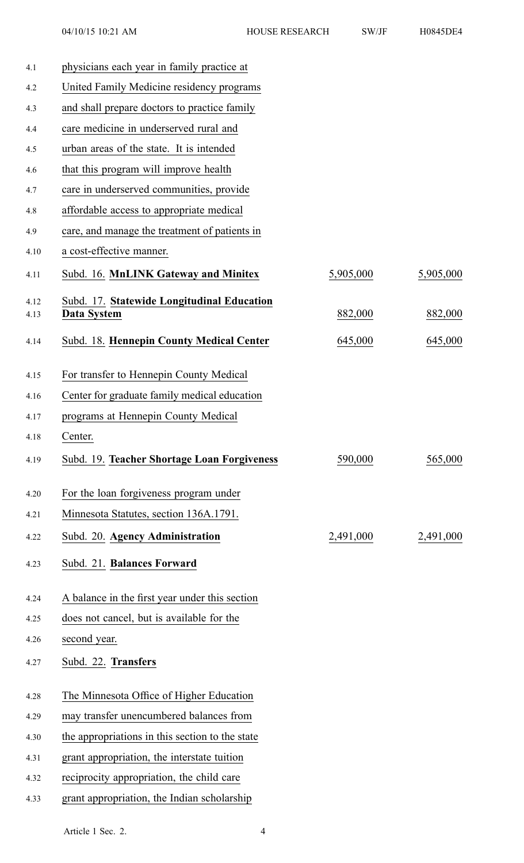| 4.1          | physicians each year in family practice at                |           |           |
|--------------|-----------------------------------------------------------|-----------|-----------|
| 4.2          | United Family Medicine residency programs                 |           |           |
| 4.3          | and shall prepare doctors to practice family              |           |           |
| 4.4          | care medicine in underserved rural and                    |           |           |
| 4.5          | urban areas of the state. It is intended                  |           |           |
| 4.6          | that this program will improve health                     |           |           |
| 4.7          | care in underserved communities, provide                  |           |           |
| 4.8          | affordable access to appropriate medical                  |           |           |
| 4.9          | care, and manage the treatment of patients in             |           |           |
| 4.10         | a cost-effective manner.                                  |           |           |
| 4.11         | Subd. 16. MnLINK Gateway and Minitex                      | 5,905,000 | 5,905,000 |
| 4.12<br>4.13 | Subd. 17. Statewide Longitudinal Education<br>Data System | 882,000   | 882,000   |
| 4.14         | Subd. 18. Hennepin County Medical Center                  | 645,000   | 645,000   |
| 4.15         | For transfer to Hennepin County Medical                   |           |           |
| 4.16         | Center for graduate family medical education              |           |           |
| 4.17         | programs at Hennepin County Medical                       |           |           |
| 4.18         | Center.                                                   |           |           |
| 4.19         | Subd. 19. Teacher Shortage Loan Forgiveness               | 590,000   | 565,000   |
| 4.20         | For the loan forgiveness program under                    |           |           |
| 4.21         | Minnesota Statutes, section 136A.1791.                    |           |           |
| 4.22         | Subd. 20. Agency Administration                           | 2,491,000 | 2,491,000 |
| 4.23         | Subd. 21. Balances Forward                                |           |           |
| 4.24         | A balance in the first year under this section            |           |           |
| 4.25         | does not cancel, but is available for the                 |           |           |
| 4.26         | second year.                                              |           |           |
| 4.27         | Subd. 22. Transfers                                       |           |           |
| 4.28         | The Minnesota Office of Higher Education                  |           |           |
| 4.29         | may transfer unencumbered balances from                   |           |           |
| 4.30         | the appropriations in this section to the state           |           |           |
| 4.31         | grant appropriation, the interstate tuition               |           |           |
| 4.32         | reciprocity appropriation, the child care                 |           |           |
| 4.33         | grant appropriation, the Indian scholarship               |           |           |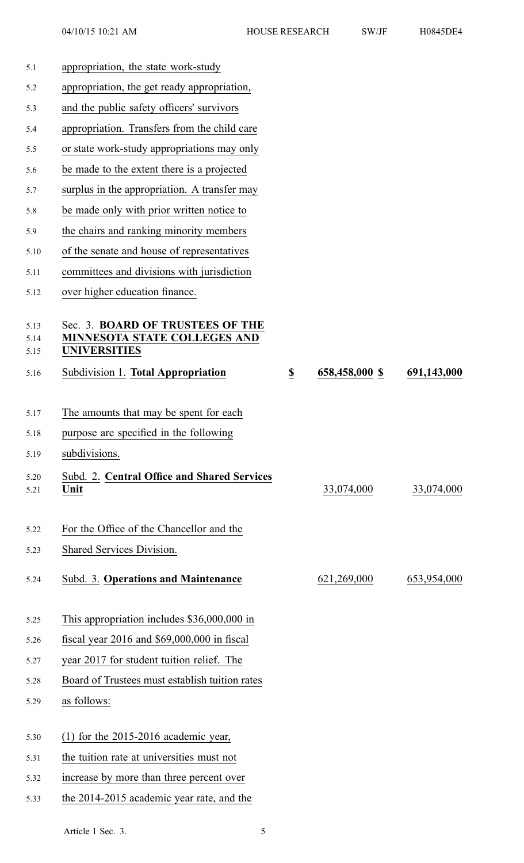5.1 appropriation, the state work-study 5.2 appropriation, the ge<sup>t</sup> ready appropriation, 5.3 and the public safety officers' survivors 5.4 appropriation. Transfers from the child care 5.5 or state work-study appropriations may only 5.6 be made to the extent there is <sup>a</sup> projected 5.7 surplus in the appropriation. A transfer may 5.8 be made only with prior written notice to 5.9 the chairs and ranking minority members 5.10 of the senate and house of representatives 5.11 committees and divisions with jurisdiction 5.12 over higher education finance. 5.13 Sec. 3. **BOARD OF TRUSTEES OF THE** 5.14 **MINNESOTA STATE COLLEGES AND** 5.15 **UNIVERSITIES** 5.16 Subdivision 1. **Total Appropriation \$ 658,458,000 \$ 691,143,000** 5.17 The amounts that may be spen<sup>t</sup> for each 5.18 purpose are specified in the following 5.19 subdivisions. 5.20 Subd. 2. **Central Office and Shared Services** 5.21 **Unit** 33,074,000 33,074,000 5.22 For the Office of the Chancellor and the 5.23 Shared Services Division. 5.24 Subd. 3. **Operations and Maintenance** 621,269,000 653,954,000 5.25 This appropriation includes \$36,000,000 in 5.26 fiscal year 2016 and \$69,000,000 in fiscal 5.27 year 2017 for student tuition relief. The 5.28 Board of Trustees must establish tuition rates 5.29 as follows: 5.30 (1) for the 2015-2016 academic year, 5.31 the tuition rate at universities must not 5.32 increase by more than three percen<sup>t</sup> over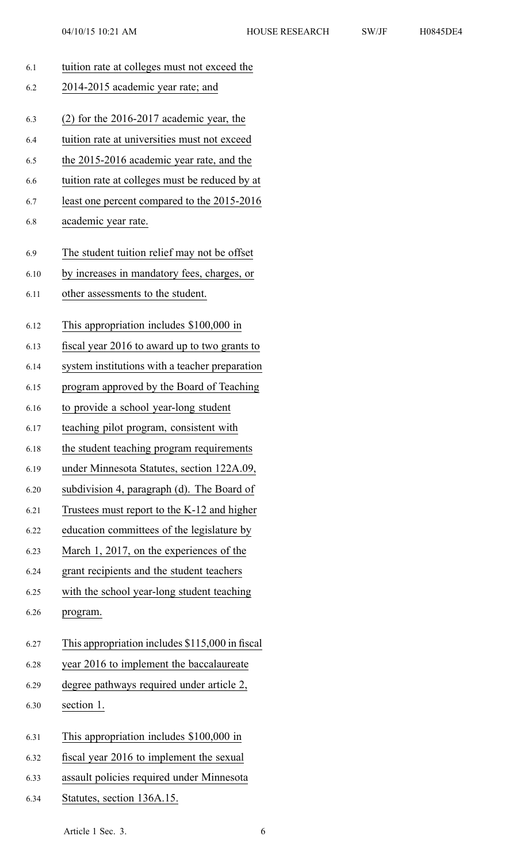|  | H0845DE4 |
|--|----------|
|  |          |

| 6.1  | tuition rate at colleges must not exceed the    |
|------|-------------------------------------------------|
| 6.2  | 2014-2015 academic year rate; and               |
| 6.3  |                                                 |
|      | $(2)$ for the 2016-2017 academic year, the      |
| 6.4  | tuition rate at universities must not exceed    |
| 6.5  | the 2015-2016 academic year rate, and the       |
| 6.6  | tuition rate at colleges must be reduced by at  |
| 6.7  | least one percent compared to the 2015-2016     |
| 6.8  | academic year rate.                             |
| 6.9  | The student tuition relief may not be offset    |
| 6.10 | by increases in mandatory fees, charges, or     |
| 6.11 | other assessments to the student.               |
|      |                                                 |
| 6.12 | This appropriation includes \$100,000 in        |
| 6.13 | fiscal year 2016 to award up to two grants to   |
| 6.14 | system institutions with a teacher preparation  |
| 6.15 | program approved by the Board of Teaching       |
| 6.16 | to provide a school year-long student           |
| 6.17 | teaching pilot program, consistent with         |
| 6.18 | the student teaching program requirements       |
| 6.19 | under Minnesota Statutes, section 122A.09,      |
| 6.20 | subdivision 4, paragraph (d). The Board of      |
| 6.21 | Trustees must report to the K-12 and higher     |
| 6.22 | education committees of the legislature by      |
| 6.23 | March 1, 2017, on the experiences of the        |
| 6.24 | grant recipients and the student teachers       |
| 6.25 | with the school year-long student teaching      |
| 6.26 | program.                                        |
| 6.27 | This appropriation includes \$115,000 in fiscal |
| 6.28 | year 2016 to implement the baccalaureate        |
| 6.29 | degree pathways required under article 2,       |
| 6.30 | section 1.                                      |
| 6.31 | This appropriation includes \$100,000 in        |
| 6.32 | fiscal year 2016 to implement the sexual        |
| 6.33 | assault policies required under Minnesota       |
| 6.34 | Statutes, section 136A.15.                      |

Article 1 Sec. 3. 6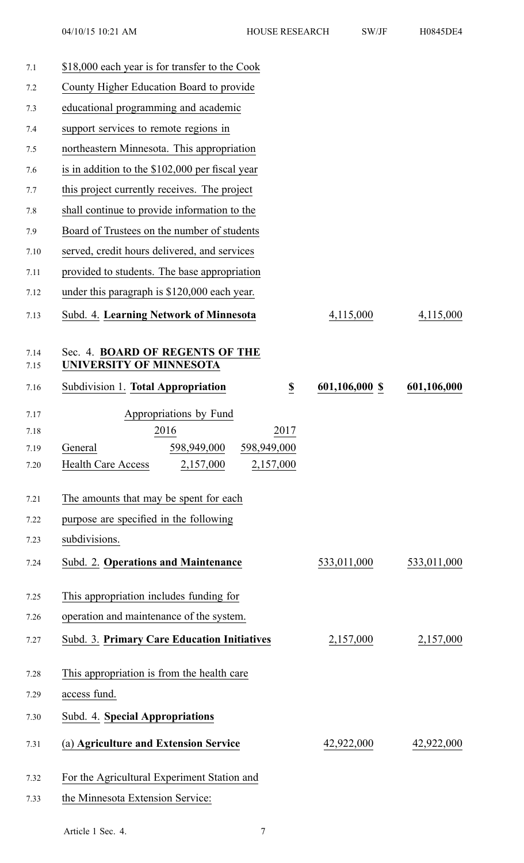| 7.1          | \$18,000 each year is for transfer to the Cook                 |                |             |
|--------------|----------------------------------------------------------------|----------------|-------------|
| 7.2          | County Higher Education Board to provide                       |                |             |
| 7.3          | educational programming and academic                           |                |             |
| 7.4          | support services to remote regions in                          |                |             |
| 7.5          | northeastern Minnesota. This appropriation                     |                |             |
| 7.6          | is in addition to the \$102,000 per fiscal year                |                |             |
| 7.7          | this project currently receives. The project                   |                |             |
| 7.8          | shall continue to provide information to the                   |                |             |
| 7.9          | Board of Trustees on the number of students                    |                |             |
| 7.10         | served, credit hours delivered, and services                   |                |             |
| 7.11         | provided to students. The base appropriation                   |                |             |
| 7.12         | under this paragraph is \$120,000 each year.                   |                |             |
| 7.13         | Subd. 4. Learning Network of Minnesota                         | 4,115,000      | 4,115,000   |
| 7.14<br>7.15 | Sec. 4. BOARD OF REGENTS OF THE<br>UNIVERSITY OF MINNESOTA     |                |             |
| 7.16         | $\underline{\mathbb{S}}$<br>Subdivision 1. Total Appropriation | 601,106,000 \$ | 601,106,000 |
| 7.17         | Appropriations by Fund                                         |                |             |
| 7.18         | 2016<br>2017                                                   |                |             |
| 7.19         | 598,949,000<br>598,949,000<br>General                          |                |             |
| 7.20         | <b>Health Care Access</b><br>2,157,000<br>2,157,000            |                |             |
| 7.21         | The amounts that may be spent for each                         |                |             |
| 7.22         | purpose are specified in the following                         |                |             |
| 7.23         | subdivisions.                                                  |                |             |
| 7.24         | Subd. 2. Operations and Maintenance                            | 533,011,000    | 533,011,000 |
| 7.25         | This appropriation includes funding for                        |                |             |
| 7.26         | operation and maintenance of the system.                       |                |             |
| 7.27         | Subd. 3. Primary Care Education Initiatives                    | 2,157,000      | 2,157,000   |
| 7.28         | This appropriation is from the health care                     |                |             |
| 7.29         | access fund.                                                   |                |             |
| 7.30         | Subd. 4. Special Appropriations                                |                |             |
| 7.31         | (a) Agriculture and Extension Service                          | 42,922,000     | 42,922,000  |
| 7.32         | For the Agricultural Experiment Station and                    |                |             |
| 7.33         | the Minnesota Extension Service:                               |                |             |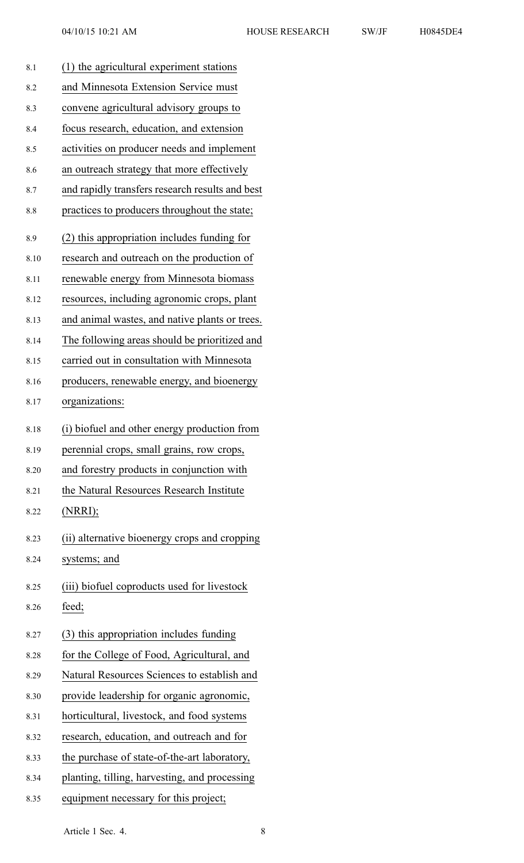| 8.1  | (1) the agricultural experiment stations        |
|------|-------------------------------------------------|
| 8.2  | and Minnesota Extension Service must            |
| 8.3  | convene agricultural advisory groups to         |
| 8.4  | focus research, education, and extension        |
| 8.5  | activities on producer needs and implement      |
| 8.6  | an outreach strategy that more effectively      |
| 8.7  | and rapidly transfers research results and best |
| 8.8  | practices to producers throughout the state;    |
| 8.9  | (2) this appropriation includes funding for     |
| 8.10 | research and outreach on the production of      |
| 8.11 | renewable energy from Minnesota biomass         |
| 8.12 | resources, including agronomic crops, plant     |
| 8.13 | and animal wastes, and native plants or trees.  |
| 8.14 | The following areas should be prioritized and   |
| 8.15 | carried out in consultation with Minnesota      |
| 8.16 | producers, renewable energy, and bioenergy      |
| 8.17 | organizations:                                  |
| 8.18 | (i) biofuel and other energy production from    |
| 8.19 | perennial crops, small grains, row crops,       |
| 8.20 | and forestry products in conjunction with       |
| 8.21 | the Natural Resources Research Institute        |
| 8.22 | (NRRI);                                         |
| 8.23 | (ii) alternative bioenergy crops and cropping   |
| 8.24 | systems; and                                    |
| 8.25 | (iii) biofuel coproducts used for livestock     |
| 8.26 | feed;                                           |
| 8.27 | (3) this appropriation includes funding         |
| 8.28 | for the College of Food, Agricultural, and      |
| 8.29 | Natural Resources Sciences to establish and     |
| 8.30 | provide leadership for organic agronomic,       |
| 8.31 | horticultural, livestock, and food systems      |
| 8.32 | research, education, and outreach and for       |
| 8.33 | the purchase of state-of-the-art laboratory,    |
| 8.34 | planting, tilling, harvesting, and processing   |
| 8.35 | equipment necessary for this project;           |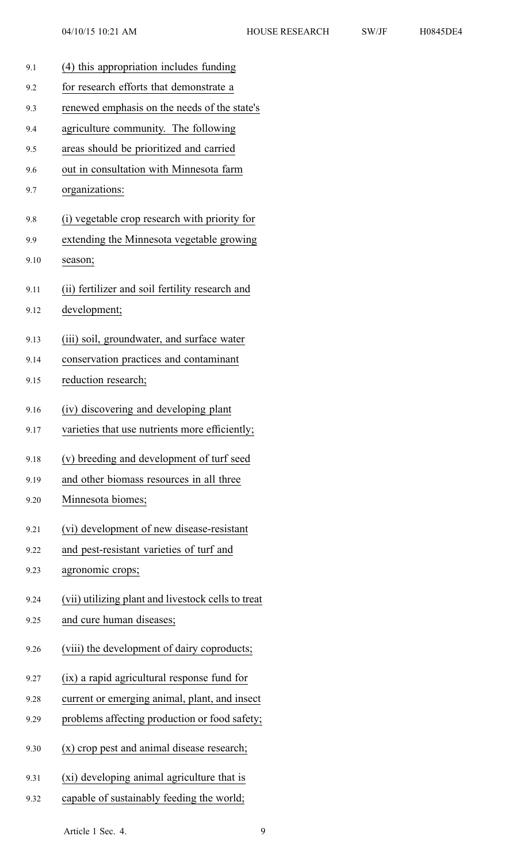9.1 (4) this appropriation includes funding 9.2 for research efforts that demonstrate <sup>a</sup> 9.3 renewed emphasis on the needs of the state's 9.4 agriculture community. The following 9.5 areas should be prioritized and carried 9.6 out in consultation with Minnesota farm 9.7 organizations: 9.8 (i) vegetable crop research with priority for 9.9 extending the Minnesota vegetable growing 9.10 season; 9.11 (ii) fertilizer and soil fertility research and 9.12 development; 9.13 (iii) soil, groundwater, and surface water 9.14 conservation practices and contaminant 9.15 reduction research; 9.16 (iv) discovering and developing plant 9.17 varieties that use nutrients more efficiently; 9.18 (v) breeding and development of turf seed 9.19 and other biomass resources in all three 9.20 Minnesota biomes; 9.21 (vi) development of new disease-resistant 9.22 and pest-resistant varieties of turf and 9.23 agronomic crops; 9.24 (vii) utilizing plant and livestock cells to treat 9.25 and cure human diseases; 9.26 (viii) the development of dairy coproducts; 9.27 (ix) <sup>a</sup> rapid agricultural response fund for 9.28 current or emerging animal, plant, and insect 9.29 problems affecting production or food safety; 9.30 (x) crop pes<sup>t</sup> and animal disease research; 9.31 (xi) developing animal agriculture that is 9.32 capable of sustainably feeding the world;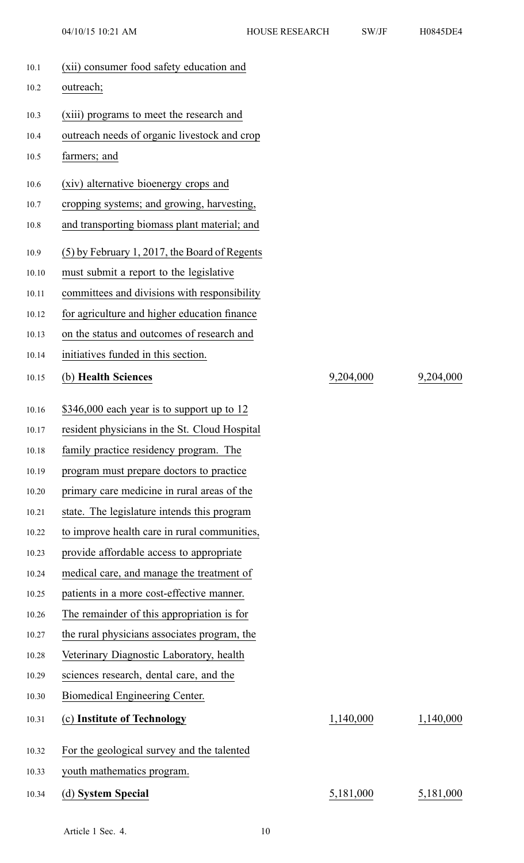| H0845DE4 |  |
|----------|--|
|----------|--|

| 10.1  | (xii) consumer food safety education and      |           |           |
|-------|-----------------------------------------------|-----------|-----------|
| 10.2  | outreach;                                     |           |           |
| 10.3  | (xiii) programs to meet the research and      |           |           |
| 10.4  | outreach needs of organic livestock and crop  |           |           |
| 10.5  | farmers; and                                  |           |           |
| 10.6  | (xiv) alternative bioenergy crops and         |           |           |
| 10.7  | cropping systems; and growing, harvesting,    |           |           |
| 10.8  | and transporting biomass plant material; and  |           |           |
| 10.9  | (5) by February 1, 2017, the Board of Regents |           |           |
| 10.10 | must submit a report to the legislative       |           |           |
| 10.11 | committees and divisions with responsibility  |           |           |
| 10.12 | for agriculture and higher education finance  |           |           |
| 10.13 | on the status and outcomes of research and    |           |           |
| 10.14 | initiatives funded in this section.           |           |           |
| 10.15 | (b) Health Sciences                           | 9,204,000 | 9,204,000 |
| 10.16 | \$346,000 each year is to support up to 12    |           |           |
| 10.17 | resident physicians in the St. Cloud Hospital |           |           |
| 10.18 | family practice residency program. The        |           |           |
| 10.19 | program must prepare doctors to practice      |           |           |
| 10.20 | primary care medicine in rural areas of the   |           |           |
| 10.21 | state. The legislature intends this program   |           |           |
| 10.22 | to improve health care in rural communities,  |           |           |
| 10.23 | provide affordable access to appropriate      |           |           |
| 10.24 | medical care, and manage the treatment of     |           |           |
| 10.25 | patients in a more cost-effective manner.     |           |           |
| 10.26 | The remainder of this appropriation is for    |           |           |
| 10.27 | the rural physicians associates program, the  |           |           |
| 10.28 | Veterinary Diagnostic Laboratory, health      |           |           |
| 10.29 | sciences research, dental care, and the       |           |           |
| 10.30 | Biomedical Engineering Center.                |           |           |
| 10.31 | (c) Institute of Technology                   | 1,140,000 | 1,140,000 |
| 10.32 | For the geological survey and the talented    |           |           |
| 10.33 | youth mathematics program.                    |           |           |
| 10.34 | (d) System Special                            | 5,181,000 | 5,181,000 |
|       |                                               |           |           |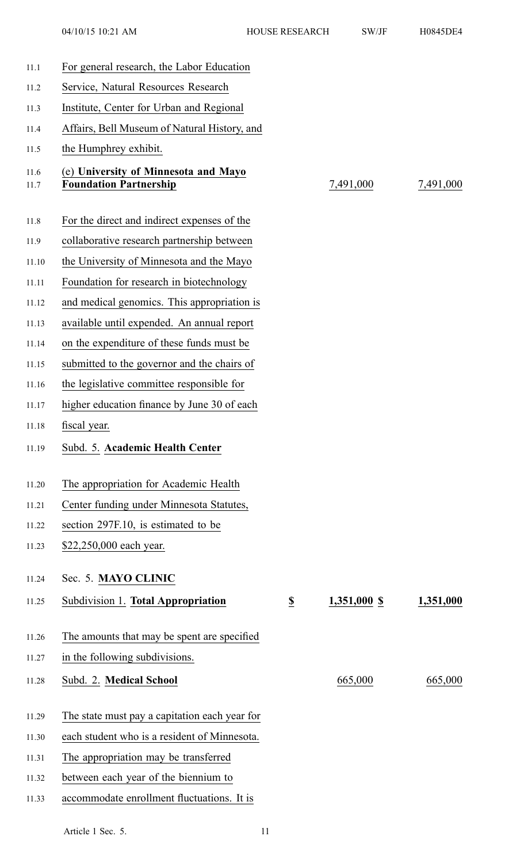| For general research, the Labor Education                             |                              |              |           |
|-----------------------------------------------------------------------|------------------------------|--------------|-----------|
| Service, Natural Resources Research                                   |                              |              |           |
| Institute, Center for Urban and Regional                              |                              |              |           |
| Affairs, Bell Museum of Natural History, and                          |                              |              |           |
| the Humphrey exhibit.                                                 |                              |              |           |
| (e) University of Minnesota and Mayo<br><b>Foundation Partnership</b> |                              | 7,491,000    | 7,491,000 |
| For the direct and indirect expenses of the                           |                              |              |           |
| collaborative research partnership between                            |                              |              |           |
| the University of Minnesota and the Mayo                              |                              |              |           |
| Foundation for research in biotechnology                              |                              |              |           |
| and medical genomics. This appropriation is                           |                              |              |           |
| available until expended. An annual report                            |                              |              |           |
| on the expenditure of these funds must be                             |                              |              |           |
| submitted to the governor and the chairs of                           |                              |              |           |
| the legislative committee responsible for                             |                              |              |           |
| higher education finance by June 30 of each                           |                              |              |           |
| fiscal year.                                                          |                              |              |           |
| Subd. 5. Academic Health Center                                       |                              |              |           |
| The appropriation for Academic Health                                 |                              |              |           |
| Center funding under Minnesota Statutes,                              |                              |              |           |
| section 297F.10, is estimated to be                                   |                              |              |           |
|                                                                       |                              |              |           |
|                                                                       |                              |              |           |
| Sec. 5. MAYO CLINIC                                                   |                              |              |           |
| Subdivision 1. Total Appropriation                                    | $\underline{\underline{\$}}$ | 1,351,000 \$ | 1,351,000 |
| The amounts that may be spent are specified                           |                              |              |           |
| in the following subdivisions.                                        |                              |              |           |
| Subd. 2. Medical School                                               |                              | 665,000      | 665,000   |
| The state must pay a capitation each year for                         |                              |              |           |
| each student who is a resident of Minnesota.                          |                              |              |           |
| The appropriation may be transferred                                  |                              |              |           |
| between each year of the biennium to                                  |                              |              |           |
|                                                                       | \$22,250,000 each year.      |              |           |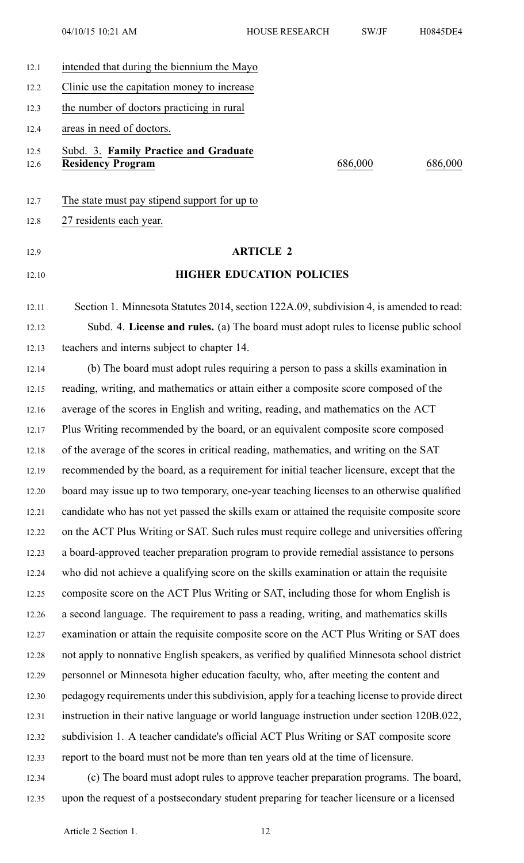|              | $04/10/15$ 10:21 AM                                               | <b>HOUSE RESEARCH</b> | SW/JF   | H0845DE4 |
|--------------|-------------------------------------------------------------------|-----------------------|---------|----------|
| 12.1         | intended that during the biennium the Mayo                        |                       |         |          |
| 12.2         | Clinic use the capitation money to increase                       |                       |         |          |
| 12.3         | the number of doctors practicing in rural                         |                       |         |          |
| 12.4         | areas in need of doctors.                                         |                       |         |          |
| 12.5<br>12.6 | Subd. 3. Family Practice and Graduate<br><b>Residency Program</b> |                       | 686,000 | 686,000  |

12.7 The state must pay stipend suppor<sup>t</sup> for up to

12.8 27 residents each year.

## 12.9 **ARTICLE 2**

## 12.10 **HIGHER EDUCATION POLICIES**

12.11 Section 1. Minnesota Statutes 2014, section 122A.09, subdivision 4, is amended to read: 12.12 Subd. 4. **License and rules.** (a) The board must adopt rules to license public school 12.13 teachers and interns subject to chapter 14.

12.14 (b) The board must adopt rules requiring <sup>a</sup> person to pass <sup>a</sup> skills examination in 12.15 reading, writing, and mathematics or attain either <sup>a</sup> composite score composed of the 12.16 average of the scores in English and writing, reading, and mathematics on the ACT 12.17 Plus Writing recommended by the board, or an equivalent composite score composed 12.18 of the average of the scores in critical reading, mathematics, and writing on the SAT 12.19 recommended by the board, as <sup>a</sup> requirement for initial teacher licensure, excep<sup>t</sup> that the 12.20 board may issue up to two temporary, one-year teaching licenses to an otherwise qualified 12.21 candidate who has not ye<sup>t</sup> passed the skills exam or attained the requisite composite score 12.22 on the ACT Plus Writing or SAT. Such rules must require college and universities offering 12.23 <sup>a</sup> board-approved teacher preparation program to provide remedial assistance to persons 12.24 who did not achieve <sup>a</sup> qualifying score on the skills examination or attain the requisite 12.25 composite score on the ACT Plus Writing or SAT, including those for whom English is 12.26 <sup>a</sup> second language. The requirement to pass <sup>a</sup> reading, writing, and mathematics skills 12.27 examination or attain the requisite composite score on the ACT Plus Writing or SAT does 12.28 not apply to nonnative English speakers, as verified by qualified Minnesota school district 12.29 personnel or Minnesota higher education faculty, who, after meeting the content and 12.30 pedagogy requirements under this subdivision, apply for a teaching license to provide direct 12.31 instruction in their native language or world language instruction under section 120B.022, 12.32 subdivision 1. A teacher candidate's official ACT Plus Writing or SAT composite score 12.33 repor<sup>t</sup> to the board must not be more than ten years old at the time of licensure.

12.34 (c) The board must adopt rules to approve teacher preparation programs. The board, 12.35 upon the reques<sup>t</sup> of <sup>a</sup> postsecondary student preparing for teacher licensure or <sup>a</sup> licensed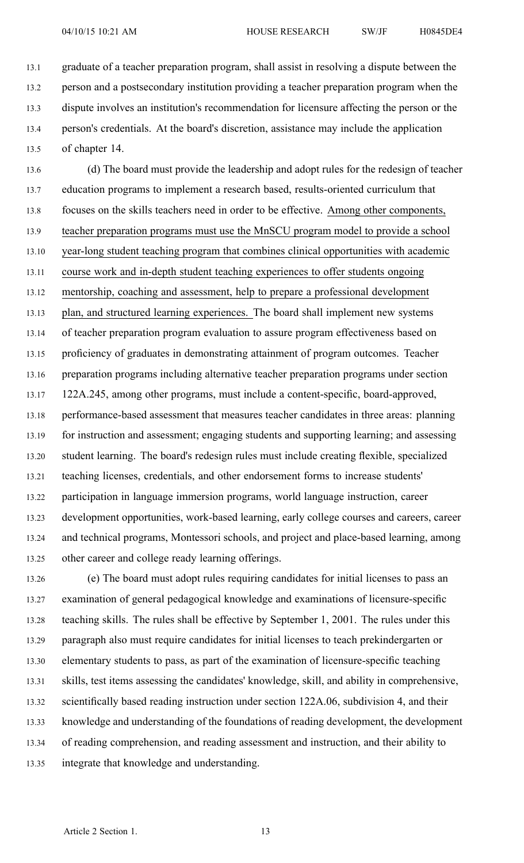13.1 graduate of <sup>a</sup> teacher preparation program, shall assist in resolving <sup>a</sup> dispute between the 13.2 person and <sup>a</sup> postsecondary institution providing <sup>a</sup> teacher preparation program when the 13.3 dispute involves an institution's recommendation for licensure affecting the person or the 13.4 person's credentials. At the board's discretion, assistance may include the application 13.5 of chapter 14.

13.6 (d) The board must provide the leadership and adopt rules for the redesign of teacher 13.7 education programs to implement <sup>a</sup> research based, results-oriented curriculum that 13.8 focuses on the skills teachers need in order to be effective. Among other components, 13.9 teacher preparation programs must use the MnSCU program model to provide <sup>a</sup> school 13.10 year-long student teaching program that combines clinical opportunities with academic 13.11 course work and in-depth student teaching experiences to offer students ongoing 13.12 mentorship, coaching and assessment, help to prepare <sup>a</sup> professional development 13.13 plan, and structured learning experiences. The board shall implement new systems 13.14 of teacher preparation program evaluation to assure program effectiveness based on 13.15 proficiency of graduates in demonstrating attainment of program outcomes. Teacher 13.16 preparation programs including alternative teacher preparation programs under section 13.17 122A.245, among other programs, must include <sup>a</sup> content-specific, board-approved, 13.18 performance-based assessment that measures teacher candidates in three areas: planning 13.19 for instruction and assessment; engaging students and supporting learning; and assessing 13.20 student learning. The board's redesign rules must include creating flexible, specialized 13.21 teaching licenses, credentials, and other endorsement forms to increase students' 13.22 participation in language immersion programs, world language instruction, career 13.23 development opportunities, work-based learning, early college courses and careers, career 13.24 and technical programs, Montessori schools, and project and place-based learning, among 13.25 other career and college ready learning offerings.

13.26 (e) The board must adopt rules requiring candidates for initial licenses to pass an 13.27 examination of general pedagogical knowledge and examinations of licensure-specific 13.28 teaching skills. The rules shall be effective by September 1, 2001. The rules under this 13.29 paragraph also must require candidates for initial licenses to teach prekindergarten or 13.30 elementary students to pass, as par<sup>t</sup> of the examination of licensure-specific teaching 13.31 skills, test items assessing the candidates' knowledge, skill, and ability in comprehensive, 13.32 scientifically based reading instruction under section 122A.06, subdivision 4, and their 13.33 knowledge and understanding of the foundations of reading development, the development 13.34 of reading comprehension, and reading assessment and instruction, and their ability to 13.35 integrate that knowledge and understanding.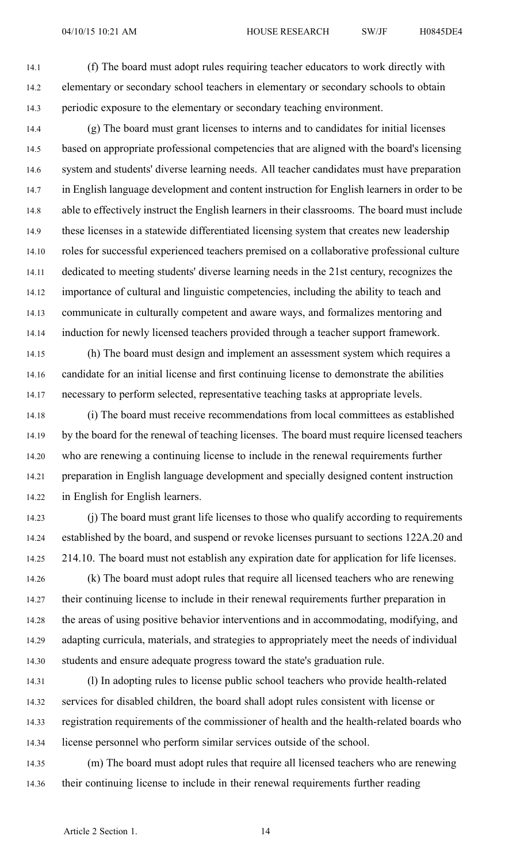14.1 (f) The board must adopt rules requiring teacher educators to work directly with 14.2 elementary or secondary school teachers in elementary or secondary schools to obtain 14.3 periodic exposure to the elementary or secondary teaching environment.

14.4 (g) The board must gran<sup>t</sup> licenses to interns and to candidates for initial licenses 14.5 based on appropriate professional competencies that are aligned with the board's licensing 14.6 system and students' diverse learning needs. All teacher candidates must have preparation 14.7 in English language development and content instruction for English learners in order to be 14.8 able to effectively instruct the English learners in their classrooms. The board must include 14.9 these licenses in <sup>a</sup> statewide differentiated licensing system that creates new leadership 14.10 roles for successful experienced teachers premised on <sup>a</sup> collaborative professional culture 14.11 dedicated to meeting students' diverse learning needs in the 21st century, recognizes the 14.12 importance of cultural and linguistic competencies, including the ability to teach and 14.13 communicate in culturally competent and aware ways, and formalizes mentoring and 14.14 induction for newly licensed teachers provided through <sup>a</sup> teacher suppor<sup>t</sup> framework.

14.15 (h) The board must design and implement an assessment system which requires <sup>a</sup> 14.16 candidate for an initial license and first continuing license to demonstrate the abilities 14.17 necessary to perform selected, representative teaching tasks at appropriate levels.

14.18 (i) The board must receive recommendations from local committees as established 14.19 by the board for the renewal of teaching licenses. The board must require licensed teachers 14.20 who are renewing <sup>a</sup> continuing license to include in the renewal requirements further 14.21 preparation in English language development and specially designed content instruction 14.22 in English for English learners.

14.23 (j) The board must gran<sup>t</sup> life licenses to those who qualify according to requirements 14.24 established by the board, and suspend or revoke licenses pursuan<sup>t</sup> to sections 122A.20 and 14.25 214.10. The board must not establish any expiration date for application for life licenses.

14.26 (k) The board must adopt rules that require all licensed teachers who are renewing 14.27 their continuing license to include in their renewal requirements further preparation in 14.28 the areas of using positive behavior interventions and in accommodating, modifying, and 14.29 adapting curricula, materials, and strategies to appropriately meet the needs of individual 14.30 students and ensure adequate progress toward the state's graduation rule.

14.31 (l) In adopting rules to license public school teachers who provide health-related 14.32 services for disabled children, the board shall adopt rules consistent with license or 14.33 registration requirements of the commissioner of health and the health-related boards who 14.34 license personnel who perform similar services outside of the school.

14.35 (m) The board must adopt rules that require all licensed teachers who are renewing 14.36 their continuing license to include in their renewal requirements further reading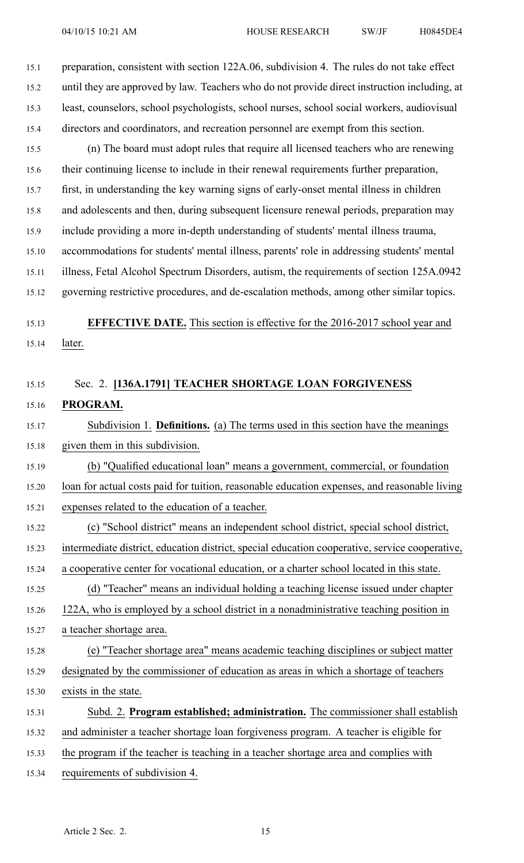15.1 preparation, consistent with section 122A.06, subdivision 4. The rules do not take effect 15.2 until they are approved by law. Teachers who do not provide direct instruction including, at 15.3 least, counselors, school psychologists, school nurses, school social workers, audiovisual 15.4 directors and coordinators, and recreation personnel are exemp<sup>t</sup> from this section. 15.5 (n) The board must adopt rules that require all licensed teachers who are renewing 15.6 their continuing license to include in their renewal requirements further preparation, 15.7 first, in understanding the key warning signs of early-onset mental illness in children 15.8 and adolescents and then, during subsequent licensure renewal periods, preparation may 15.9 include providing <sup>a</sup> more in-depth understanding of students' mental illness trauma, 15.10 accommodations for students' mental illness, parents' role in addressing students' mental 15.11 illness, Fetal Alcohol Spectrum Disorders, autism, the requirements of section 125A.0942 15.12 governing restrictive procedures, and de-escalation methods, among other similar topics. 15.13 **EFFECTIVE DATE.** This section is effective for the 2016-2017 school year and 15.14 later. 15.15 Sec. 2. **[136A.1791] TEACHER SHORTAGE LOAN FORGIVENESS** 15.16 **PROGRAM.** 15.17 Subdivision 1. **Definitions.** (a) The terms used in this section have the meanings 15.18 given them in this subdivision. 15.19 (b) "Qualified educational loan" means <sup>a</sup> government, commercial, or foundation 15.20 loan for actual costs paid for tuition, reasonable education expenses, and reasonable living 15.21 expenses related to the education of <sup>a</sup> teacher. 15.22 (c) "School district" means an independent school district, special school district, 15.23 intermediate district, education district, special education cooperative, service cooperative, 15.24 <sup>a</sup> cooperative center for vocational education, or <sup>a</sup> charter school located in this state. 15.25 (d) "Teacher" means an individual holding <sup>a</sup> teaching license issued under chapter 15.26 122A, who is employed by <sup>a</sup> school district in <sup>a</sup> nonadministrative teaching position in 15.27 <sup>a</sup> teacher shortage area. 15.28 (e) "Teacher shortage area" means academic teaching disciplines or subject matter 15.29 designated by the commissioner of education as areas in which <sup>a</sup> shortage of teachers 15.30 exists in the state. 15.31 Subd. 2. **Program established; administration.** The commissioner shall establish 15.32 and administer <sup>a</sup> teacher shortage loan forgiveness program. A teacher is eligible for 15.33 the program if the teacher is teaching in <sup>a</sup> teacher shortage area and complies with 15.34 requirements of subdivision 4.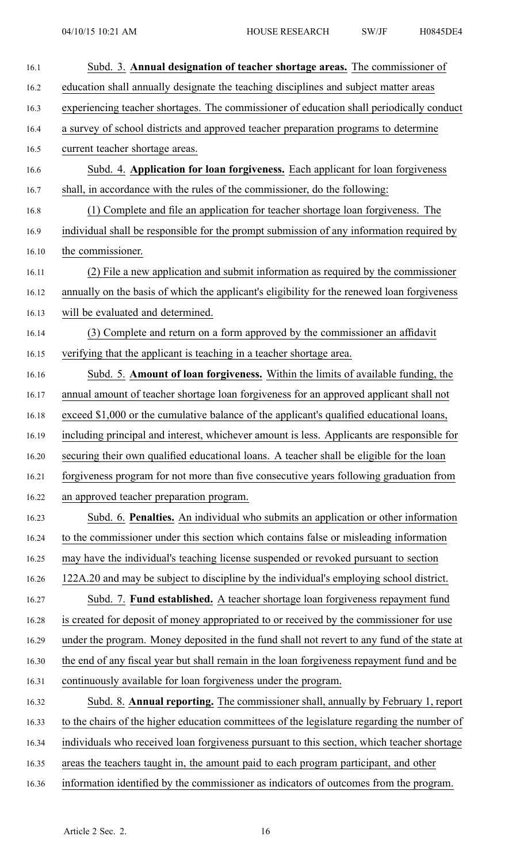| 16.1  | Subd. 3. Annual designation of teacher shortage areas. The commissioner of                  |
|-------|---------------------------------------------------------------------------------------------|
| 16.2  | education shall annually designate the teaching disciplines and subject matter areas        |
| 16.3  | experiencing teacher shortages. The commissioner of education shall periodically conduct    |
| 16.4  | a survey of school districts and approved teacher preparation programs to determine         |
| 16.5  | current teacher shortage areas.                                                             |
| 16.6  | Subd. 4. Application for loan forgiveness. Each applicant for loan forgiveness              |
| 16.7  | shall, in accordance with the rules of the commissioner, do the following:                  |
| 16.8  | (1) Complete and file an application for teacher shortage loan forgiveness. The             |
| 16.9  | individual shall be responsible for the prompt submission of any information required by    |
| 16.10 | the commissioner.                                                                           |
| 16.11 | (2) File a new application and submit information as required by the commissioner           |
| 16.12 | annually on the basis of which the applicant's eligibility for the renewed loan forgiveness |
| 16.13 | will be evaluated and determined.                                                           |
| 16.14 | (3) Complete and return on a form approved by the commissioner an affidavit                 |
| 16.15 | verifying that the applicant is teaching in a teacher shortage area.                        |
| 16.16 | Subd. 5. Amount of loan forgiveness. Within the limits of available funding, the            |
| 16.17 | annual amount of teacher shortage loan forgiveness for an approved applicant shall not      |
| 16.18 | exceed \$1,000 or the cumulative balance of the applicant's qualified educational loans,    |
| 16.19 | including principal and interest, whichever amount is less. Applicants are responsible for  |
| 16.20 | securing their own qualified educational loans. A teacher shall be eligible for the loan    |
| 16.21 | forgiveness program for not more than five consecutive years following graduation from      |
| 16.22 | an approved teacher preparation program.                                                    |
| 16.23 | Subd. 6. Penalties. An individual who submits an application or other information           |
| 16.24 | to the commissioner under this section which contains false or misleading information       |
| 16.25 | may have the individual's teaching license suspended or revoked pursuant to section         |
| 16.26 | 122A.20 and may be subject to discipline by the individual's employing school district.     |
| 16.27 | Subd. 7. Fund established. A teacher shortage loan forgiveness repayment fund               |
| 16.28 | is created for deposit of money appropriated to or received by the commissioner for use     |
| 16.29 | under the program. Money deposited in the fund shall not revert to any fund of the state at |
| 16.30 | the end of any fiscal year but shall remain in the loan forgiveness repayment fund and be   |
| 16.31 | continuously available for loan forgiveness under the program.                              |
| 16.32 | Subd. 8. Annual reporting. The commissioner shall, annually by February 1, report           |
| 16.33 | to the chairs of the higher education committees of the legislature regarding the number of |
| 16.34 | individuals who received loan forgiveness pursuant to this section, which teacher shortage  |
| 16.35 | areas the teachers taught in, the amount paid to each program participant, and other        |
| 16.36 | information identified by the commissioner as indicators of outcomes from the program.      |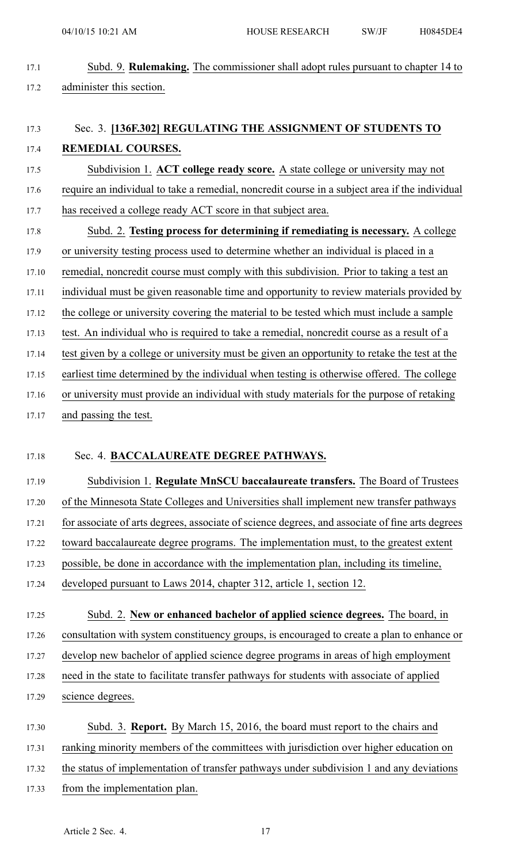| 17.1           | Subd. 9. Rulemaking. The commissioner shall adopt rules pursuant to chapter 14 to               |
|----------------|-------------------------------------------------------------------------------------------------|
| 17.2           | administer this section.                                                                        |
|                |                                                                                                 |
| 17.3           | Sec. 3. [136F.302] REGULATING THE ASSIGNMENT OF STUDENTS TO                                     |
| 17.4           | REMEDIAL COURSES.                                                                               |
| 17.5           | Subdivision 1. ACT college ready score. A state college or university may not                   |
| 17.6           | require an individual to take a remedial, noncredit course in a subject area if the individual  |
| 17.7           | has received a college ready ACT score in that subject area.                                    |
| 17.8           | Subd. 2. Testing process for determining if remediating is necessary. A college                 |
| 17.9           | or university testing process used to determine whether an individual is placed in a            |
| 17.10          | remedial, noncredit course must comply with this subdivision. Prior to taking a test an         |
| 17.11          | individual must be given reasonable time and opportunity to review materials provided by        |
| 17.12          | the college or university covering the material to be tested which must include a sample        |
| 17.13          | test. An individual who is required to take a remedial, noncredit course as a result of a       |
| 17.14          | test given by a college or university must be given an opportunity to retake the test at the    |
| 17.15          | earliest time determined by the individual when testing is otherwise offered. The college       |
| 17.16          | or university must provide an individual with study materials for the purpose of retaking       |
| 17.17          | and passing the test.                                                                           |
|                |                                                                                                 |
|                |                                                                                                 |
| 17.18          | Sec. 4. BACCALAUREATE DEGREE PATHWAYS.                                                          |
| 17.19          | Subdivision 1. Regulate MnSCU baccalaureate transfers. The Board of Trustees                    |
| 17.20          | of the Minnesota State Colleges and Universities shall implement new transfer pathways          |
| 17.21          | for associate of arts degrees, associate of science degrees, and associate of fine arts degrees |
| 17.22          | toward baccalaureate degree programs. The implementation must, to the greatest extent           |
| 17.23          | possible, be done in accordance with the implementation plan, including its timeline,           |
| 17.24          | developed pursuant to Laws 2014, chapter 312, article 1, section 12.                            |
|                |                                                                                                 |
| 17.25          | Subd. 2. New or enhanced bachelor of applied science degrees. The board, in                     |
| 17.26          | consultation with system constituency groups, is encouraged to create a plan to enhance or      |
| 17.27<br>17.28 | develop new bachelor of applied science degree programs in areas of high employment             |
| 17.29          | need in the state to facilitate transfer pathways for students with associate of applied        |
|                | science degrees.                                                                                |
| 17.30          | Subd. 3. Report. By March 15, 2016, the board must report to the chairs and                     |
| 17.31          | ranking minority members of the committees with jurisdiction over higher education on           |
| 17.32          | the status of implementation of transfer pathways under subdivision 1 and any deviations        |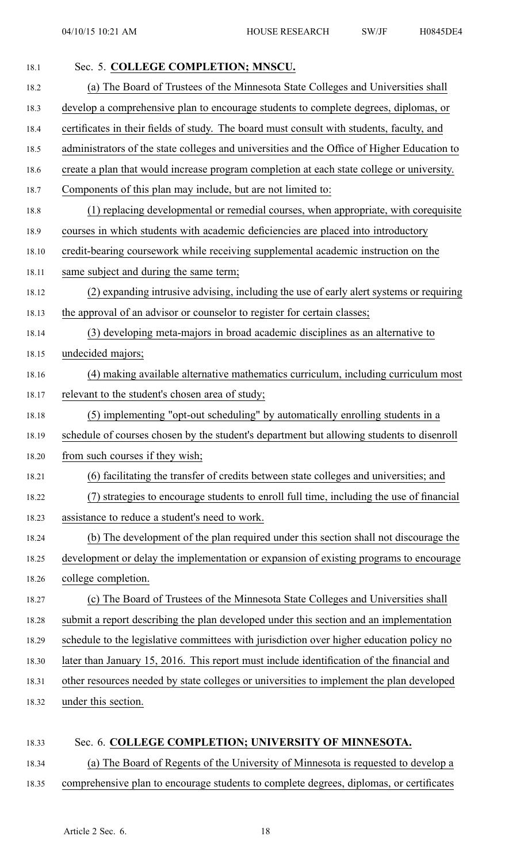| 18.1  | Sec. 5. COLLEGE COMPLETION; MNSCU.                                                          |
|-------|---------------------------------------------------------------------------------------------|
| 18.2  | (a) The Board of Trustees of the Minnesota State Colleges and Universities shall            |
| 18.3  | develop a comprehensive plan to encourage students to complete degrees, diplomas, or        |
| 18.4  | certificates in their fields of study. The board must consult with students, faculty, and   |
| 18.5  | administrators of the state colleges and universities and the Office of Higher Education to |
| 18.6  | create a plan that would increase program completion at each state college or university.   |
| 18.7  | Components of this plan may include, but are not limited to:                                |
| 18.8  | (1) replacing developmental or remedial courses, when appropriate, with corequisite         |
| 18.9  | courses in which students with academic deficiencies are placed into introductory           |
| 18.10 | credit-bearing coursework while receiving supplemental academic instruction on the          |
| 18.11 | same subject and during the same term;                                                      |
| 18.12 | (2) expanding intrusive advising, including the use of early alert systems or requiring     |
| 18.13 | the approval of an advisor or counselor to register for certain classes;                    |
| 18.14 | (3) developing meta-majors in broad academic disciplines as an alternative to               |
| 18.15 | undecided majors;                                                                           |
| 18.16 | (4) making available alternative mathematics curriculum, including curriculum most          |
| 18.17 | relevant to the student's chosen area of study;                                             |
| 18.18 | (5) implementing "opt-out scheduling" by automatically enrolling students in a              |
| 18.19 | schedule of courses chosen by the student's department but allowing students to disenroll   |
| 18.20 | from such courses if they wish;                                                             |
| 18.21 | (6) facilitating the transfer of credits between state colleges and universities; and       |
| 18.22 | (7) strategies to encourage students to enroll full time, including the use of financial    |
| 18.23 | assistance to reduce a student's need to work.                                              |
| 18.24 | (b) The development of the plan required under this section shall not discourage the        |
| 18.25 | development or delay the implementation or expansion of existing programs to encourage      |
| 18.26 | college completion.                                                                         |
| 18.27 | (c) The Board of Trustees of the Minnesota State Colleges and Universities shall            |
| 18.28 | submit a report describing the plan developed under this section and an implementation      |
| 18.29 | schedule to the legislative committees with jurisdiction over higher education policy no    |
| 18.30 | later than January 15, 2016. This report must include identification of the financial and   |
| 18.31 | other resources needed by state colleges or universities to implement the plan developed    |
| 18.32 | under this section.                                                                         |
|       |                                                                                             |
| 18.33 | Sec. 6. COLLEGE COMPLETION; UNIVERSITY OF MINNESOTA.                                        |

## 18.34 (a) The Board of Regents of the University of Minnesota is requested to develop <sup>a</sup> 18.35 comprehensive plan to encourage students to complete degrees, diplomas, or certificates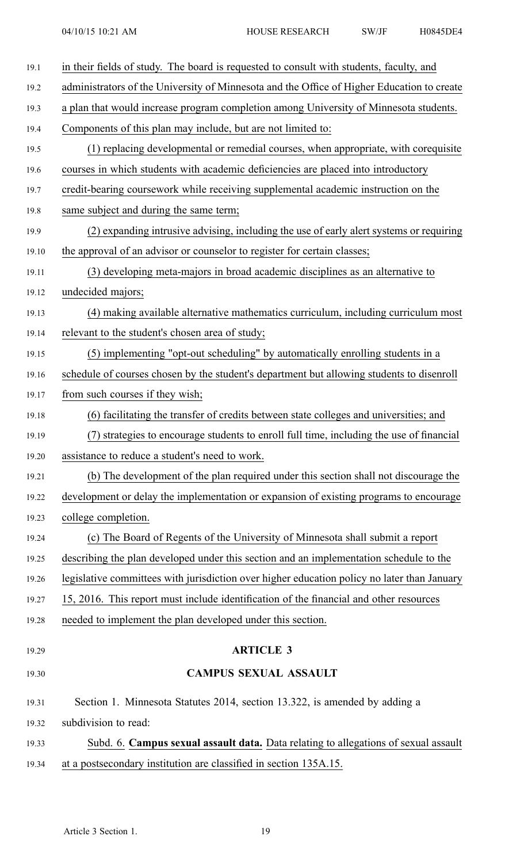| 19.1  | in their fields of study. The board is requested to consult with students, faculty, and     |
|-------|---------------------------------------------------------------------------------------------|
| 19.2  | administrators of the University of Minnesota and the Office of Higher Education to create  |
| 19.3  | a plan that would increase program completion among University of Minnesota students.       |
| 19.4  | Components of this plan may include, but are not limited to:                                |
| 19.5  | (1) replacing developmental or remedial courses, when appropriate, with corequisite         |
| 19.6  | courses in which students with academic deficiencies are placed into introductory           |
| 19.7  | credit-bearing coursework while receiving supplemental academic instruction on the          |
| 19.8  | same subject and during the same term;                                                      |
| 19.9  | (2) expanding intrusive advising, including the use of early alert systems or requiring     |
| 19.10 | the approval of an advisor or counselor to register for certain classes;                    |
| 19.11 | (3) developing meta-majors in broad academic disciplines as an alternative to               |
| 19.12 | undecided majors;                                                                           |
| 19.13 | (4) making available alternative mathematics curriculum, including curriculum most          |
| 19.14 | relevant to the student's chosen area of study;                                             |
| 19.15 | (5) implementing "opt-out scheduling" by automatically enrolling students in a              |
| 19.16 | schedule of courses chosen by the student's department but allowing students to disenroll   |
| 19.17 | from such courses if they wish;                                                             |
| 19.18 | (6) facilitating the transfer of credits between state colleges and universities; and       |
| 19.19 | (7) strategies to encourage students to enroll full time, including the use of financial    |
| 19.20 | assistance to reduce a student's need to work.                                              |
| 19.21 | (b) The development of the plan required under this section shall not discourage the        |
| 19.22 | development or delay the implementation or expansion of existing programs to encourage      |
| 19.23 | college completion.                                                                         |
| 19.24 | (c) The Board of Regents of the University of Minnesota shall submit a report               |
| 19.25 | describing the plan developed under this section and an implementation schedule to the      |
| 19.26 | legislative committees with jurisdiction over higher education policy no later than January |
| 19.27 | 15, 2016. This report must include identification of the financial and other resources      |
| 19.28 | needed to implement the plan developed under this section.                                  |
| 19.29 | <b>ARTICLE 3</b>                                                                            |
| 19.30 | <b>CAMPUS SEXUAL ASSAULT</b>                                                                |
| 19.31 | Section 1. Minnesota Statutes 2014, section 13.322, is amended by adding a                  |
| 19.32 | subdivision to read:                                                                        |
| 19.33 | Subd. 6. Campus sexual assault data. Data relating to allegations of sexual assault         |
| 19.34 | at a postsecondary institution are classified in section 135A.15.                           |
|       |                                                                                             |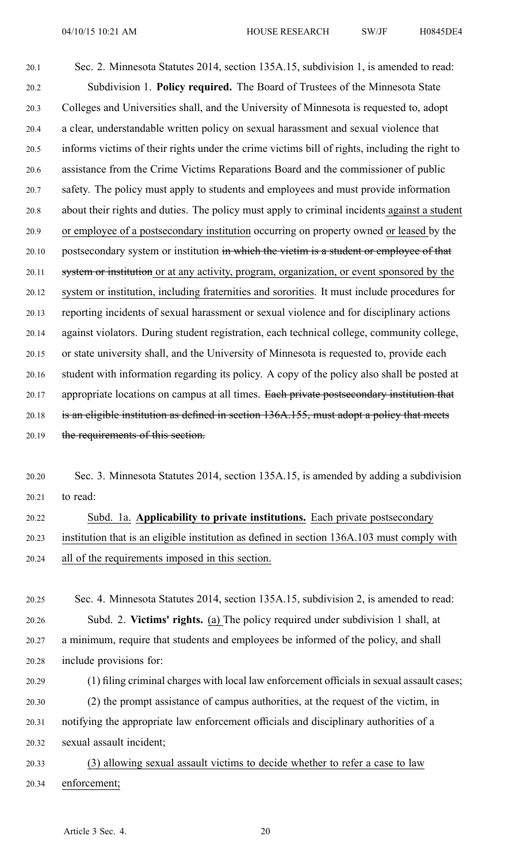20.1 Sec. 2. Minnesota Statutes 2014, section 135A.15, subdivision 1, is amended to read: 20.2 Subdivision 1. **Policy required.** The Board of Trustees of the Minnesota State 20.3 Colleges and Universities shall, and the University of Minnesota is requested to, adopt 20.4 <sup>a</sup> clear, understandable written policy on sexual harassment and sexual violence that 20.5 informs victims of their rights under the crime victims bill of rights, including the right to 20.6 assistance from the Crime Victims Reparations Board and the commissioner of public 20.7 safety. The policy must apply to students and employees and must provide information 20.8 about their rights and duties. The policy must apply to criminal incidents against <sup>a</sup> student 20.9 or employee of <sup>a</sup> postsecondary institution occurring on property owned or leased by the 20.10 postsecondary system or institution in which the victim is a student or employee of that 20.11 system or institution or at any activity, program, organization, or event sponsored by the 20.12 system or institution, including fraternities and sororities. It must include procedures for 20.13 reporting incidents of sexual harassment or sexual violence and for disciplinary actions 20.14 against violators. During student registration, each technical college, community college, 20.15 or state university shall, and the University of Minnesota is requested to, provide each 20.16 student with information regarding its policy. A copy of the policy also shall be posted at 20.17 appropriate locations on campus at all times. Each private postsecondary institution that 20.18 is an eligible institution as defined in section 136A.155, must adopt <sup>a</sup> policy that meets 20.19 the requirements of this section.

20.20 Sec. 3. Minnesota Statutes 2014, section 135A.15, is amended by adding <sup>a</sup> subdivision 20.21 to read:

20.22 Subd. 1a. **Applicability to private institutions.** Each private postsecondary 20.23 institution that is an eligible institution as defined in section 136A.103 must comply with 20.24 all of the requirements imposed in this section.

20.25 Sec. 4. Minnesota Statutes 2014, section 135A.15, subdivision 2, is amended to read: 20.26 Subd. 2. **Victims' rights.** (a) The policy required under subdivision 1 shall, at 20.27 <sup>a</sup> minimum, require that students and employees be informed of the policy, and shall 20.28 include provisions for:

20.29 (1) filing criminal charges with local law enforcement officials in sexual assault cases; 20.30 (2) the promp<sup>t</sup> assistance of campus authorities, at the reques<sup>t</sup> of the victim, in 20.31 notifying the appropriate law enforcement officials and disciplinary authorities of <sup>a</sup>

20.32 sexual assault incident;

20.33 (3) allowing sexual assault victims to decide whether to refer <sup>a</sup> case to law 20.34 enforcement;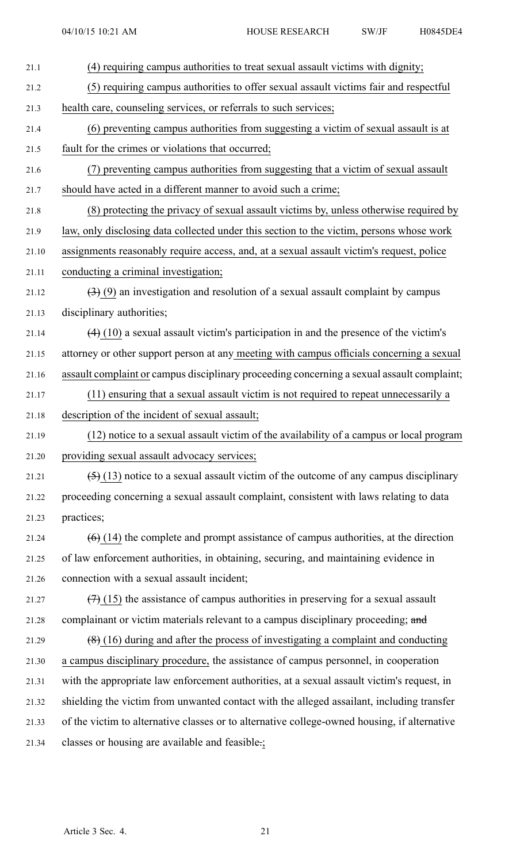21.1 (4) requiring campus authorities to treat sexual assault victims with dignity; 21.2 (5) requiring campus authorities to offer sexual assault victims fair and respectful 21.3 health care, counseling services, or referrals to such services; 21.4 (6) preventing campus authorities from suggesting <sup>a</sup> victim of sexual assault is at 21.5 fault for the crimes or violations that occurred; 21.6 (7) preventing campus authorities from suggesting that <sup>a</sup> victim of sexual assault 21.7 should have acted in <sup>a</sup> different manner to avoid such <sup>a</sup> crime; 21.8 (8) protecting the privacy of sexual assault victims by, unless otherwise required by 21.9 law, only disclosing data collected under this section to the victim, persons whose work 21.10 assignments reasonably require access, and, at <sup>a</sup> sexual assault victim's request, police 21.11 conducting <sup>a</sup> criminal investigation; 21.12  $(3)$  (9) an investigation and resolution of a sexual assault complaint by campus 21.13 disciplinary authorities; 21.14  $(4)$  (10) a sexual assault victim's participation in and the presence of the victim's 21.15 attorney or other suppor<sup>t</sup> person at any meeting with campus officials concerning <sup>a</sup> sexual 21.16 assault complaint or campus disciplinary proceeding concerning <sup>a</sup> sexual assault complaint; 21.17 (11) ensuring that <sup>a</sup> sexual assault victim is not required to repea<sup>t</sup> unnecessarily <sup>a</sup> 21.18 description of the incident of sexual assault; 21.19 (12) notice to <sup>a</sup> sexual assault victim of the availability of <sup>a</sup> campus or local program 21.20 providing sexual assault advocacy services; 21.21  $(5)$  (13) notice to a sexual assault victim of the outcome of any campus disciplinary 21.22 proceeding concerning <sup>a</sup> sexual assault complaint, consistent with laws relating to data 21.23 practices; 21.24  $(6)$  (14) the complete and prompt assistance of campus authorities, at the direction 21.25 of law enforcement authorities, in obtaining, securing, and maintaining evidence in 21.26 connection with <sup>a</sup> sexual assault incident; 21.27  $(7)$  (15) the assistance of campus authorities in preserving for a sexual assault 21.28 complainant or victim materials relevant to a campus disciplinary proceeding; and 21.29  $(8)(16)$  during and after the process of investigating a complaint and conducting 21.30 <sup>a</sup> campus disciplinary procedure, the assistance of campus personnel, in cooperation 21.31 with the appropriate law enforcement authorities, at <sup>a</sup> sexual assault victim's request, in 21.32 shielding the victim from unwanted contact with the alleged assailant, including transfer 21.33 of the victim to alternative classes or to alternative college-owned housing, if alternative 21.34 classes or housing are available and feasible.;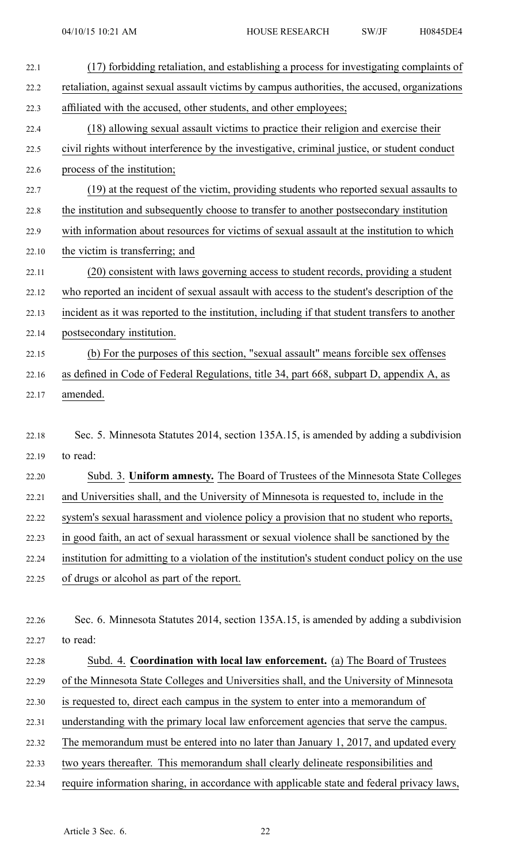| 22.1  | (17) forbidding retaliation, and establishing a process for investigating complaints of         |
|-------|-------------------------------------------------------------------------------------------------|
| 22.2  | retaliation, against sexual assault victims by campus authorities, the accused, organizations   |
| 22.3  | affiliated with the accused, other students, and other employees;                               |
| 22.4  | (18) allowing sexual assault victims to practice their religion and exercise their              |
| 22.5  | civil rights without interference by the investigative, criminal justice, or student conduct    |
| 22.6  | process of the institution;                                                                     |
| 22.7  | (19) at the request of the victim, providing students who reported sexual assaults to           |
| 22.8  | the institution and subsequently choose to transfer to another postsecondary institution        |
| 22.9  | with information about resources for victims of sexual assault at the institution to which      |
| 22.10 | the victim is transferring; and                                                                 |
| 22.11 | (20) consistent with laws governing access to student records, providing a student              |
| 22.12 | who reported an incident of sexual assault with access to the student's description of the      |
| 22.13 | incident as it was reported to the institution, including if that student transfers to another  |
| 22.14 | postsecondary institution.                                                                      |
| 22.15 | (b) For the purposes of this section, "sexual assault" means forcible sex offenses              |
| 22.16 | as defined in Code of Federal Regulations, title 34, part 668, subpart D, appendix A, as        |
| 22.17 | amended.                                                                                        |
|       |                                                                                                 |
| 22.18 | Sec. 5. Minnesota Statutes 2014, section 135A.15, is amended by adding a subdivision            |
| 22.19 | to read:                                                                                        |
| 22.20 | Subd. 3. Uniform amnesty. The Board of Trustees of the Minnesota State Colleges                 |
| 22.21 | and Universities shall, and the University of Minnesota is requested to, include in the         |
| 22.22 | system's sexual harassment and violence policy a provision that no student who reports,         |
| 22.23 | in good faith, an act of sexual harassment or sexual violence shall be sanctioned by the        |
| 22.24 | institution for admitting to a violation of the institution's student conduct policy on the use |
| 22.25 | of drugs or alcohol as part of the report.                                                      |
|       |                                                                                                 |
| 22.26 | Sec. 6. Minnesota Statutes 2014, section 135A.15, is amended by adding a subdivision            |
| 22.27 | to read:                                                                                        |
| 22.28 | Subd. 4. Coordination with local law enforcement. (a) The Board of Trustees                     |
| 22.29 | of the Minnesota State Colleges and Universities shall, and the University of Minnesota         |
| 22.30 | is requested to, direct each campus in the system to enter into a memorandum of                 |
| 22.31 | understanding with the primary local law enforcement agencies that serve the campus.            |
| 22.32 | The memorandum must be entered into no later than January 1, 2017, and updated every            |

- 22.33 two years thereafter. This memorandum shall clearly delineate responsibilities and
- 22.34 require information sharing, in accordance with applicable state and federal privacy laws,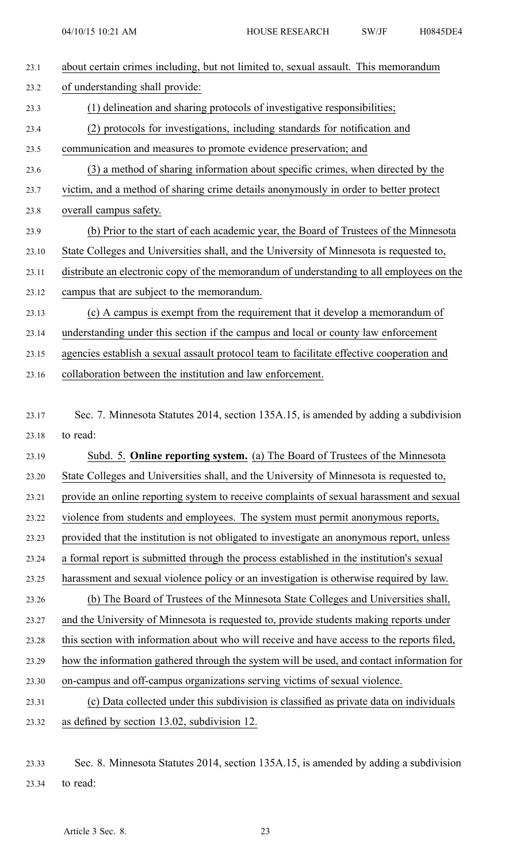| 23.1  | about certain crimes including, but not limited to, sexual assault. This memorandum        |
|-------|--------------------------------------------------------------------------------------------|
| 23.2  | of understanding shall provide:                                                            |
| 23.3  | (1) delineation and sharing protocols of investigative responsibilities;                   |
| 23.4  | (2) protocols for investigations, including standards for notification and                 |
| 23.5  | communication and measures to promote evidence preservation; and                           |
| 23.6  | (3) a method of sharing information about specific crimes, when directed by the            |
| 23.7  | victim, and a method of sharing crime details anonymously in order to better protect       |
| 23.8  | overall campus safety.                                                                     |
| 23.9  | (b) Prior to the start of each academic year, the Board of Trustees of the Minnesota       |
| 23.10 | State Colleges and Universities shall, and the University of Minnesota is requested to,    |
| 23.11 | distribute an electronic copy of the memorandum of understanding to all employees on the   |
| 23.12 | campus that are subject to the memorandum.                                                 |
| 23.13 | (c) A campus is exempt from the requirement that it develop a memorandum of                |
| 23.14 | understanding under this section if the campus and local or county law enforcement         |
| 23.15 | agencies establish a sexual assault protocol team to facilitate effective cooperation and  |
| 23.16 | collaboration between the institution and law enforcement.                                 |
|       |                                                                                            |
|       |                                                                                            |
| 23.17 | Sec. 7. Minnesota Statutes 2014, section 135A.15, is amended by adding a subdivision       |
| 23.18 | to read:                                                                                   |
| 23.19 | Subd. 5. <b>Online reporting system.</b> (a) The Board of Trustees of the Minnesota        |
| 23.20 | State Colleges and Universities shall, and the University of Minnesota is requested to,    |
| 23.21 | provide an online reporting system to receive complaints of sexual harassment and sexual   |
| 23.22 | violence from students and employees. The system must permit anonymous reports,            |
| 23.23 | provided that the institution is not obligated to investigate an anonymous report, unless  |
| 23.24 | a formal report is submitted through the process established in the institution's sexual   |
| 23.25 | harassment and sexual violence policy or an investigation is otherwise required by law.    |
| 23.26 | (b) The Board of Trustees of the Minnesota State Colleges and Universities shall,          |
| 23.27 | and the University of Minnesota is requested to, provide students making reports under     |
| 23.28 | this section with information about who will receive and have access to the reports filed, |
| 23.29 | how the information gathered through the system will be used, and contact information for  |
| 23.30 | on-campus and off-campus organizations serving victims of sexual violence.                 |
| 23.31 | (c) Data collected under this subdivision is classified as private data on individuals     |

23.33 Sec. 8. Minnesota Statutes 2014, section 135A.15, is amended by adding <sup>a</sup> subdivision 23.34 to read: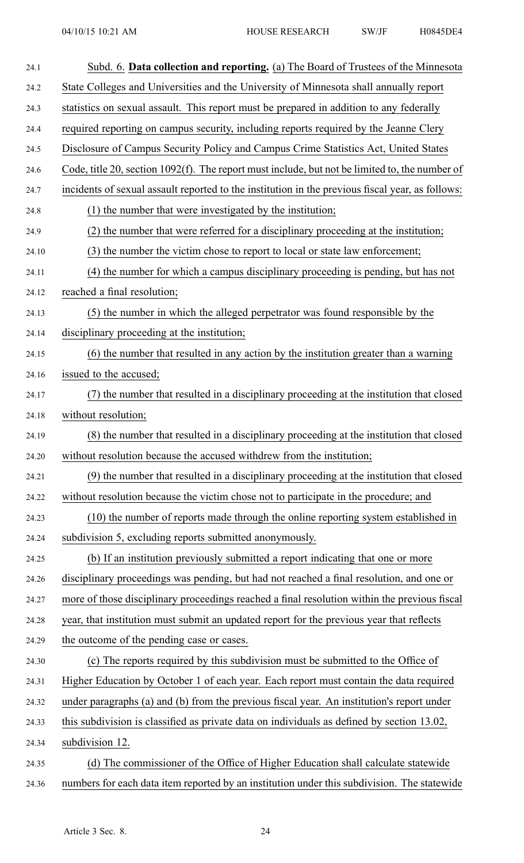| 24.1  | Subd. 6. Data collection and reporting. (a) The Board of Trustees of the Minnesota               |
|-------|--------------------------------------------------------------------------------------------------|
| 24.2  | State Colleges and Universities and the University of Minnesota shall annually report            |
| 24.3  | statistics on sexual assault. This report must be prepared in addition to any federally          |
| 24.4  | required reporting on campus security, including reports required by the Jeanne Clery            |
| 24.5  | Disclosure of Campus Security Policy and Campus Crime Statistics Act, United States              |
| 24.6  | Code, title 20, section 1092(f). The report must include, but not be limited to, the number of   |
| 24.7  | incidents of sexual assault reported to the institution in the previous fiscal year, as follows: |
| 24.8  | (1) the number that were investigated by the institution;                                        |
| 24.9  | (2) the number that were referred for a disciplinary proceeding at the institution;              |
| 24.10 | (3) the number the victim chose to report to local or state law enforcement;                     |
| 24.11 | (4) the number for which a campus disciplinary proceeding is pending, but has not                |
| 24.12 | reached a final resolution;                                                                      |
| 24.13 | (5) the number in which the alleged perpetrator was found responsible by the                     |
| 24.14 | disciplinary proceeding at the institution;                                                      |
| 24.15 | (6) the number that resulted in any action by the institution greater than a warning             |
| 24.16 | issued to the accused;                                                                           |
| 24.17 | (7) the number that resulted in a disciplinary proceeding at the institution that closed         |
| 24.18 | without resolution;                                                                              |
| 24.19 | (8) the number that resulted in a disciplinary proceeding at the institution that closed         |
| 24.20 | without resolution because the accused with drew from the institution;                           |
| 24.21 | (9) the number that resulted in a disciplinary proceeding at the institution that closed         |
| 24.22 | without resolution because the victim chose not to participate in the procedure; and             |
| 24.23 | (10) the number of reports made through the online reporting system established in               |
| 24.24 | subdivision 5, excluding reports submitted anonymously.                                          |
| 24.25 | (b) If an institution previously submitted a report indicating that one or more                  |
| 24.26 | disciplinary proceedings was pending, but had not reached a final resolution, and one or         |
| 24.27 | more of those disciplinary proceedings reached a final resolution within the previous fiscal     |
| 24.28 | year, that institution must submit an updated report for the previous year that reflects         |
| 24.29 | the outcome of the pending case or cases.                                                        |
| 24.30 | (c) The reports required by this subdivision must be submitted to the Office of                  |
| 24.31 | Higher Education by October 1 of each year. Each report must contain the data required           |
| 24.32 | under paragraphs (a) and (b) from the previous fiscal year. An institution's report under        |
| 24.33 | this subdivision is classified as private data on individuals as defined by section 13.02,       |
| 24.34 | subdivision 12.                                                                                  |
| 24.35 | (d) The commissioner of the Office of Higher Education shall calculate statewide                 |
| 24.36 | numbers for each data item reported by an institution under this subdivision. The statewide      |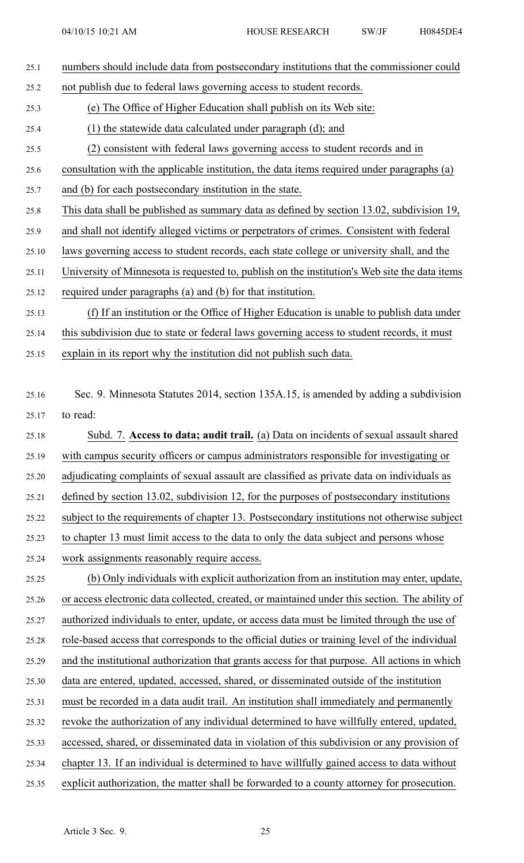- 25.1 numbers should include data from postsecondary institutions that the commissioner could 25.2 not publish due to federal laws governing access to student records. 25.3 (e) The Office of Higher Education shall publish on its Web site: 25.4 (1) the statewide data calculated under paragraph (d); and 25.5 (2) consistent with federal laws governing access to student records and in 25.6 consultation with the applicable institution, the data items required under paragraphs (a) 25.7 and (b) for each postsecondary institution in the state. 25.8 This data shall be published as summary data as defined by section 13.02, subdivision 19, 25.9 and shall not identify alleged victims or perpetrators of crimes. Consistent with federal 25.10 laws governing access to student records, each state college or university shall, and the 25.11 University of Minnesota is requested to, publish on the institution's Web site the data items 25.12 required under paragraphs (a) and (b) for that institution. 25.13 (f) If an institution or the Office of Higher Education is unable to publish data under 25.14 this subdivision due to state or federal laws governing access to student records, it must 25.15 explain in its repor<sup>t</sup> why the institution did not publish such data. 25.16 Sec. 9. Minnesota Statutes 2014, section 135A.15, is amended by adding <sup>a</sup> subdivision 25.17 to read: 25.18 Subd. 7. **Access to data; audit trail.** (a) Data on incidents of sexual assault shared 25.19 with campus security officers or campus administrators responsible for investigating or 25.20 adjudicating complaints of sexual assault are classified as private data on individuals as 25.21 defined by section 13.02, subdivision 12, for the purposes of postsecondary institutions 25.22 subject to the requirements of chapter 13. Postsecondary institutions not otherwise subject 25.23 to chapter 13 must limit access to the data to only the data subject and persons whose 25.24 work assignments reasonably require access. 25.25 (b) Only individuals with explicit authorization from an institution may enter, update, 25.26 or access electronic data collected, created, or maintained under this section. The ability of 25.27 authorized individuals to enter, update, or access data must be limited through the use of 25.28 role-based access that corresponds to the official duties or training level of the individual 25.29 and the institutional authorization that grants access for that purpose. All actions in which 25.30 data are entered, updated, accessed, shared, or disseminated outside of the institution 25.31 must be recorded in <sup>a</sup> data audit trail. An institution shall immediately and permanently 25.32 revoke the authorization of any individual determined to have willfully entered, updated, 25.33 accessed, shared, or disseminated data in violation of this subdivision or any provision of 25.34 chapter 13. If an individual is determined to have willfully gained access to data without
- 25.35 explicit authorization, the matter shall be forwarded to <sup>a</sup> county attorney for prosecution.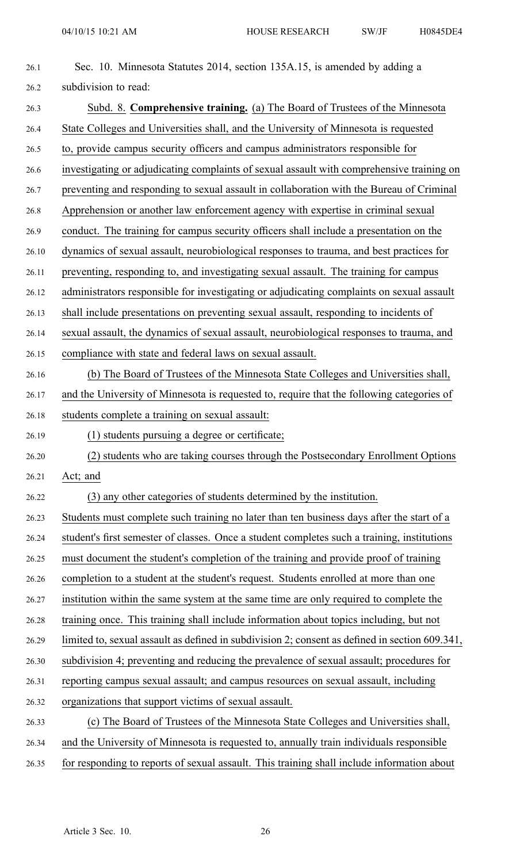| 26.1  | Sec. 10. Minnesota Statutes 2014, section 135A.15, is amended by adding a                      |
|-------|------------------------------------------------------------------------------------------------|
| 26.2  | subdivision to read:                                                                           |
| 26.3  | Subd. 8. Comprehensive training. (a) The Board of Trustees of the Minnesota                    |
| 26.4  | State Colleges and Universities shall, and the University of Minnesota is requested            |
| 26.5  | to, provide campus security officers and campus administrators responsible for                 |
| 26.6  | investigating or adjudicating complaints of sexual assault with comprehensive training on      |
| 26.7  | preventing and responding to sexual assault in collaboration with the Bureau of Criminal       |
| 26.8  | Apprehension or another law enforcement agency with expertise in criminal sexual               |
| 26.9  | conduct. The training for campus security officers shall include a presentation on the         |
| 26.10 | dynamics of sexual assault, neurobiological responses to trauma, and best practices for        |
| 26.11 | preventing, responding to, and investigating sexual assault. The training for campus           |
| 26.12 | administrators responsible for investigating or adjudicating complaints on sexual assault      |
| 26.13 | shall include presentations on preventing sexual assault, responding to incidents of           |
| 26.14 | sexual assault, the dynamics of sexual assault, neurobiological responses to trauma, and       |
| 26.15 | compliance with state and federal laws on sexual assault.                                      |
| 26.16 | (b) The Board of Trustees of the Minnesota State Colleges and Universities shall,              |
| 26.17 | and the University of Minnesota is requested to, require that the following categories of      |
| 26.18 | students complete a training on sexual assault:                                                |
| 26.19 | (1) students pursuing a degree or certificate;                                                 |
| 26.20 | (2) students who are taking courses through the Postsecondary Enrollment Options               |
| 26.21 | Act; and                                                                                       |
| 26.22 | (3) any other categories of students determined by the institution.                            |
| 26.23 | Students must complete such training no later than ten business days after the start of a      |
| 26.24 | student's first semester of classes. Once a student completes such a training, institutions    |
| 26.25 | must document the student's completion of the training and provide proof of training           |
| 26.26 | completion to a student at the student's request. Students enrolled at more than one           |
| 26.27 | institution within the same system at the same time are only required to complete the          |
| 26.28 | training once. This training shall include information about topics including, but not         |
| 26.29 | limited to, sexual assault as defined in subdivision 2; consent as defined in section 609.341, |
| 26.30 | subdivision 4; preventing and reducing the prevalence of sexual assault; procedures for        |
| 26.31 | reporting campus sexual assault; and campus resources on sexual assault, including             |
| 26.32 | organizations that support victims of sexual assault.                                          |
| 26.33 | (c) The Board of Trustees of the Minnesota State Colleges and Universities shall,              |
| 26.34 | and the University of Minnesota is requested to, annually train individuals responsible        |
| 26.35 | for responding to reports of sexual assault. This training shall include information about     |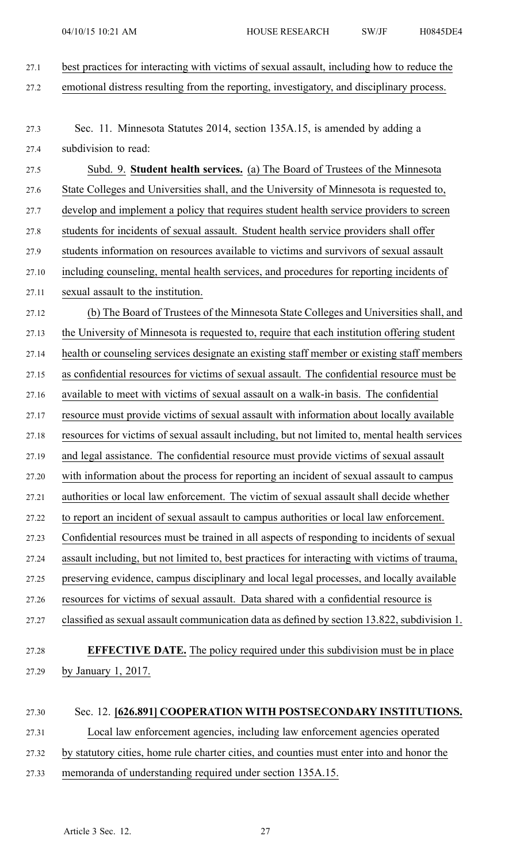- 27.1 best practices for interacting with victims of sexual assault, including how to reduce the 27.2 emotional distress resulting from the reporting, investigatory, and disciplinary process. 27.3 Sec. 11. Minnesota Statutes 2014, section 135A.15, is amended by adding <sup>a</sup> 27.4 subdivision to read: 27.5 Subd. 9. **Student health services.** (a) The Board of Trustees of the Minnesota 27.6 State Colleges and Universities shall, and the University of Minnesota is requested to, 27.7 develop and implement <sup>a</sup> policy that requires student health service providers to screen 27.8 students for incidents of sexual assault. Student health service providers shall offer 27.9 students information on resources available to victims and survivors of sexual assault 27.10 including counseling, mental health services, and procedures for reporting incidents of 27.11 sexual assault to the institution. 27.12 (b) The Board of Trustees of the Minnesota State Colleges and Universities shall, and 27.13 the University of Minnesota is requested to, require that each institution offering student 27.14 health or counseling services designate an existing staff member or existing staff members 27.15 as confidential resources for victims of sexual assault. The confidential resource must be 27.16 available to meet with victims of sexual assault on <sup>a</sup> walk-in basis. The confidential 27.17 resource must provide victims of sexual assault with information about locally available 27.18 resources for victims of sexual assault including, but not limited to, mental health services 27.19 and legal assistance. The confidential resource must provide victims of sexual assault 27.20 with information about the process for reporting an incident of sexual assault to campus 27.21 authorities or local law enforcement. The victim of sexual assault shall decide whether 27.22 to repor<sup>t</sup> an incident of sexual assault to campus authorities or local law enforcement. 27.23 Confidential resources must be trained in all aspects of responding to incidents of sexual 27.24 assault including, but not limited to, best practices for interacting with victims of trauma, 27.25 preserving evidence, campus disciplinary and local legal processes, and locally available 27.26 resources for victims of sexual assault. Data shared with <sup>a</sup> confidential resource is 27.27 classified as sexual assault communication data as defined by section 13.822, subdivision 1. 27.28 **EFFECTIVE DATE.** The policy required under this subdivision must be in place 27.29 by January 1, 2017.
- 27.30 Sec. 12. **[626.891] COOPERATION WITH POSTSECONDARY INSTITUTIONS.** 27.31 Local law enforcement agencies, including law enforcement agencies operated 27.32 by statutory cities, home rule charter cities, and counties must enter into and honor the 27.33 memoranda of understanding required under section 135A.15.